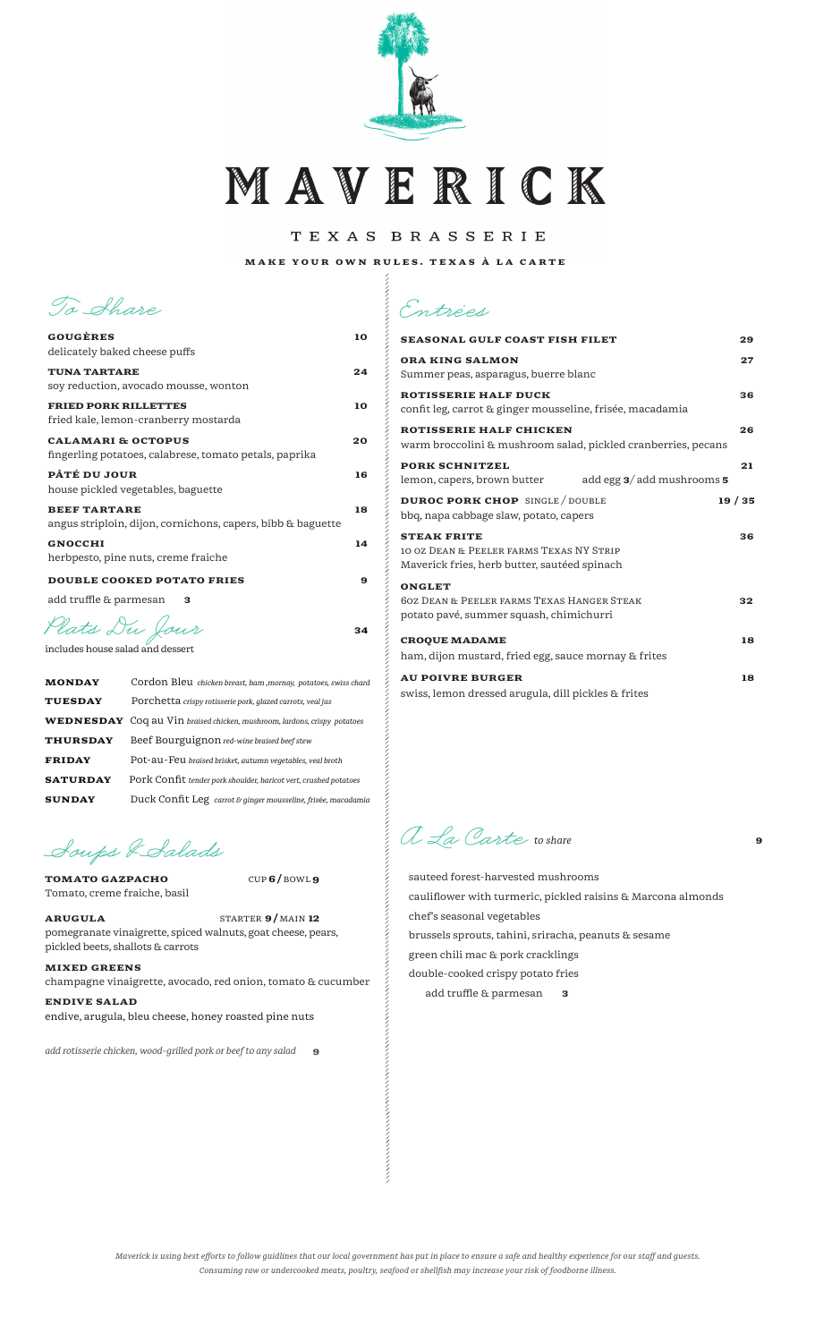

MAVERICK

TEXAS BRASSERIE

MAKE YOUR OWN RULES. TEXAS À LA CARTE

 $\alpha$  . The construction of the construction of the construction of the construction of the construction of the construction of the construction of the construction of the construction of the construction of the constructi

**To Share**

| GOUGÈRES                                                                                | 10 |
|-----------------------------------------------------------------------------------------|----|
| delicately baked cheese puffs                                                           |    |
| <b>TUNA TARTARE</b><br>soy reduction, avocado mousse, wonton                            | 24 |
| <b>FRIED PORK RILLETTES</b><br>fried kale, lemon-cranberry mostarda                     | 10 |
| <b>CALAMARI &amp; OCTOPUS</b><br>fingerling potatoes, calabrese, tomato petals, paprika | 20 |
| PÂTÉ DU JOUR<br>house pickled vegetables, baguette                                      | 16 |
| <b>BEEF TARTARE</b><br>angus striploin, dijon, cornichons, capers, bibb & baguette      | 18 |
| <b>GNOCCHI</b><br>herbpesto, pine nuts, creme fraiche                                   | 14 |
| <b>DOUBLE COOKED POTATO FRIES</b>                                                       | 9  |
| add truffle & parmesan<br>з                                                             |    |
|                                                                                         |    |

**Plats Du Jour** <sup>34</sup>

includes house salad and dessert

| <b>MONDAY</b>   | Cordon Bleu chicken breast, ham , mornay, potatoes, swiss chard                 |
|-----------------|---------------------------------------------------------------------------------|
| <b>TUESDAY</b>  | Porchetta crispy rotisserie pork, glazed carrots, veal jus                      |
|                 | <b>WEDNESDAY</b> Coq au Vin braised chicken, mushroom, lardons, crispy potatoes |
| <b>THURSDAY</b> | Beef Bourguignon red-wine braised beef stew                                     |
| <b>FRIDAY</b>   | Pot-au-Feu braised brisket, autumn vegetables, veal broth                       |
| <b>SATURDAY</b> | Pork Confit tender pork shoulder, haricot vert, crushed potatoes                |
| <b>SUNDAY</b>   | Duck Confit Leg carrot & ginger mousseline, frisée, macadamia                   |

**Soups &Salads**

TOMATO GAZPACHO CUP 6/ BOWL 9 Tomato, creme fraiche, basil

ARUGULA STARTER 9/MAIN 12 pomegranate vinaigrette, spiced walnuts, goat cheese, pears, pickled beets, shallots & carrots

MIXED GREENS champagne vinaigrette, avocado, red onion, tomato & cucumber ENDIVE SALAD

endive, arugula, bleu cheese, honey roasted pine nuts

add rotisserie chicken, wood-grilled pork or beef to any salad **9** 

| <b>SEASONAL GULF COAST FISH FILET</b>                                                                             | 29    |
|-------------------------------------------------------------------------------------------------------------------|-------|
| <b>ORA KING SALMON</b><br>Summer peas, asparagus, buerre blanc                                                    | 27    |
| <b>ROTISSERIE HALF DUCK</b><br>confit leg, carrot & ginger mousseline, frisée, macadamia                          | 36    |
| <b>ROTISSERIE HALF CHICKEN</b><br>warm broccolini & mushroom salad, pickled cranberries, pecans                   | 26    |
| <b>PORK SCHNITZEL</b><br>add egg $3/$ add mushrooms $5$<br>lemon, capers, brown butter                            | 21    |
| <b>DUROC PORK CHOP</b> SINGLE / DOUBLE<br>bbq, napa cabbage slaw, potato, capers                                  | 19/35 |
| <b>STEAK FRITE</b><br>10 0Z DEAN & PEELER FARMS TEXAS NY STRIP<br>Maverick fries, herb butter, sautéed spinach    | 36    |
| <b>ONGLET</b><br><b>60Z DEAN &amp; PEELER FARMS TEXAS HANGER STEAK</b><br>potato pavé, summer squash, chimichurri | 32    |
| <b>CROQUE MADAME</b><br>ham, dijon mustard, fried egg, sauce mornay & frites                                      | 18    |
| <b>AU POIVRE BURGER</b><br>swiss, lemon dressed arugula, dill pickles & frites                                    | 18    |

**A La Carte** *to share*<sup>9</sup>

 sauteed forest-harvested mushrooms cauliflower with turmeric, pickled raisins & Marcona almonds chef's seasonal vegetables brussels sprouts, tahini, sriracha, peanuts & sesame green chili mac & pork cracklings double-cooked crispy potato fries add truffle & parmesan 3

*Maverick is using best efforts to follow guidlines that our local government has put in place to ensure a safe and healthy experience for our staff and guests. Consuming raw or undercooked meats, poultry, seafood or shellfish may increase your risk of foodborne illness.*